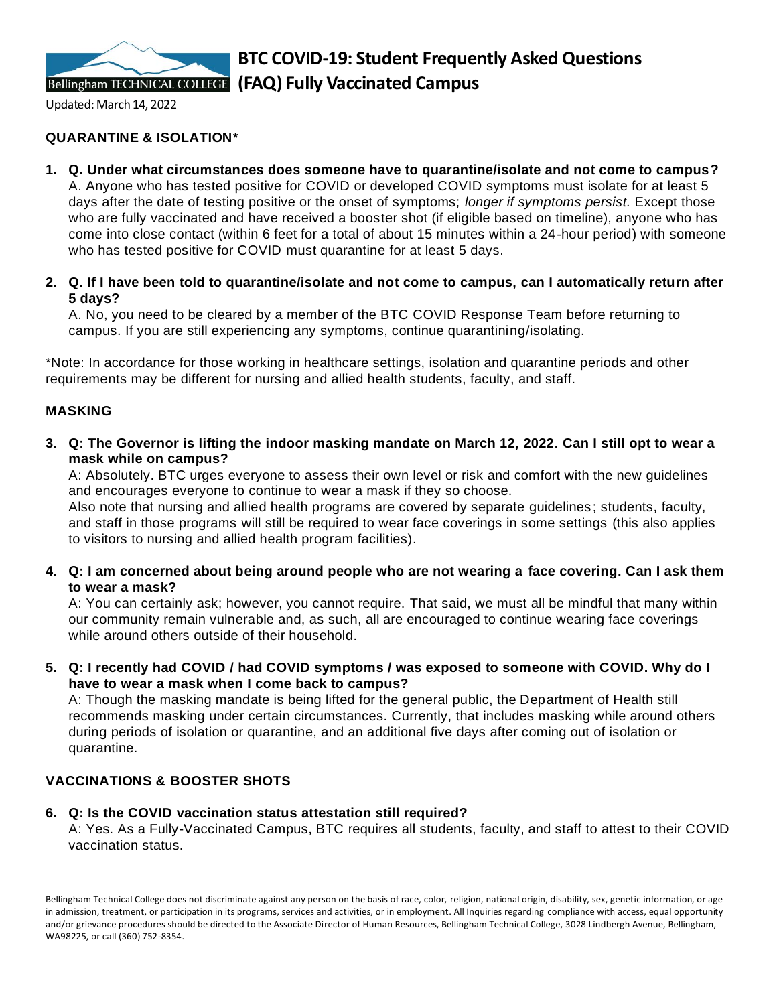

Updated: March 14, 2022

# **QUARANTINE & ISOLATION\***

- **1. Q. Under what circumstances does someone have to quarantine/isolate and not come to campus?** A. Anyone who has tested positive for COVID or developed COVID symptoms must isolate for at least 5 days after the date of testing positive or the onset of symptoms; *longer if symptoms persist.* Except those who are fully vaccinated and have received a booster shot (if eligible based on timeline), anyone who has come into close contact (within 6 feet for a total of about 15 minutes within a 24-hour period) with someone who has tested positive for COVID must quarantine for at least 5 days.
- **2. Q. If I have been told to quarantine/isolate and not come to campus, can I automatically return after 5 days?**

A. No, you need to be cleared by a member of the BTC COVID Response Team before returning to campus. If you are still experiencing any symptoms, continue quarantining/isolating.

\*Note: In accordance for those working in healthcare settings, isolation and quarantine periods and other requirements may be different for nursing and allied health students, faculty, and staff.

## **MASKING**

**3. Q: The Governor is lifting the indoor masking mandate on March 12, 2022. Can I still opt to wear a mask while on campus?**

A: Absolutely. BTC urges everyone to assess their own level or risk and comfort with the new guidelines and encourages everyone to continue to wear a mask if they so choose.

Also note that nursing and allied health programs are covered by separate guidelines ; students, faculty, and staff in those programs will still be required to wear face coverings in some settings (this also applies to visitors to nursing and allied health program facilities).

**4. Q: I am concerned about being around people who are not wearing a face covering. Can I ask them to wear a mask?**

A: You can certainly ask; however, you cannot require. That said, we must all be mindful that many within our community remain vulnerable and, as such, all are encouraged to continue wearing face coverings while around others outside of their household.

**5. Q: I recently had COVID / had COVID symptoms / was exposed to someone with COVID. Why do I have to wear a mask when I come back to campus?**

A: Though the masking mandate is being lifted for the general public, the Department of Health still recommends masking under certain circumstances. Currently, that includes masking while around others during periods of isolation or quarantine, and an additional five days after coming out of isolation or quarantine.

# **VACCINATIONS & BOOSTER SHOTS**

#### **6. Q: Is the COVID vaccination status attestation still required?**

A: Yes. As a Fully-Vaccinated Campus, BTC requires all students, faculty, and staff to attest to their COVID vaccination status.

Bellingham Technical College does not discriminate against any person on the basis of race, color, religion, national origin, disability, sex, genetic information, or age in admission, treatment, or participation in its programs, services and activities, or in employment. All Inquiries regarding compliance with access, equal opportunity and/or grievance procedures should be directed to the Associate Director of Human Resources, Bellingham Technical College, 3028 Lindbergh Avenue, Bellingham, WA98225, or call (360) 752-8354.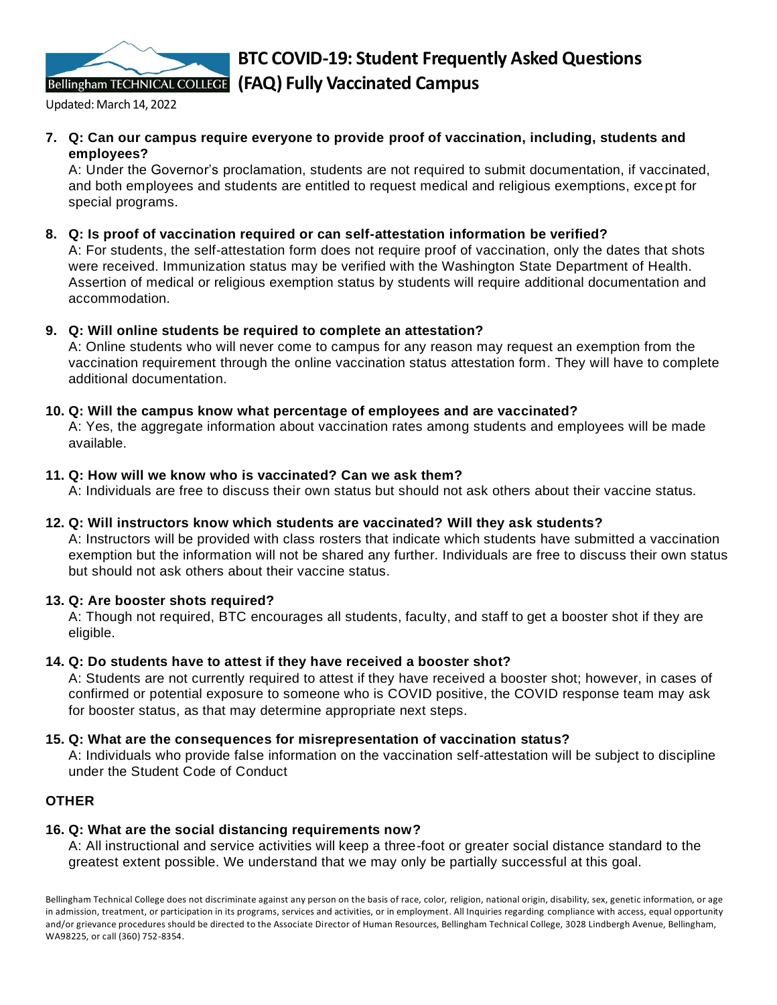

Updated: March 14, 2022

**7. Q: Can our campus require everyone to provide proof of vaccination, including, students and employees?**

A: Under the Governor's proclamation, students are not required to submit documentation, if vaccinated, and both employees and students are entitled to request medical and religious exemptions, except for special programs.

**8. Q: Is proof of vaccination required or can self-attestation information be verified?**

A: For students, the self-attestation form does not require proof of vaccination, only the dates that shots were received. Immunization status may be verified with the Washington State Department of Health. Assertion of medical or religious exemption status by students will require additional documentation and accommodation.

# **9. Q: Will online students be required to complete an attestation?**

A: Online students who will never come to campus for any reason may request an exemption from the vaccination requirement through the online vaccination status attestation form. They will have to complete additional documentation.

## **10. Q: Will the campus know what percentage of employees and are vaccinated?**

A: Yes, the aggregate information about vaccination rates among students and employees will be made available.

## **11. Q: How will we know who is vaccinated? Can we ask them?**

A: Individuals are free to discuss their own status but should not ask others about their vaccine status.

#### **12. Q: Will instructors know which students are vaccinated? Will they ask students?**

A: Instructors will be provided with class rosters that indicate which students have submitted a vaccination exemption but the information will not be shared any further. Individuals are free to discuss their own status but should not ask others about their vaccine status.

# **13. Q: Are booster shots required?**

A: Though not required, BTC encourages all students, faculty, and staff to get a booster shot if they are eligible.

#### **14. Q: Do students have to attest if they have received a booster shot?**

A: Students are not currently required to attest if they have received a booster shot; however, in cases of confirmed or potential exposure to someone who is COVID positive, the COVID response team may ask for booster status, as that may determine appropriate next steps.

### **15. Q: What are the consequences for misrepresentation of vaccination status?**

A: Individuals who provide false information on the vaccination self-attestation will be subject to discipline under the Student Code of Conduct

#### **OTHER**

# **16. Q: What are the social distancing requirements now?**

A: All instructional and service activities will keep a three-foot or greater social distance standard to the greatest extent possible. We understand that we may only be partially successful at this goal.

Bellingham Technical College does not discriminate against any person on the basis of race, color, religion, national origin, disability, sex, genetic information, or age in admission, treatment, or participation in its programs, services and activities, or in employment. All Inquiries regarding compliance with access, equal opportunity and/or grievance procedures should be directed to the Associate Director of Human Resources, Bellingham Technical College, 3028 Lindbergh Avenue, Bellingham, WA98225, or call (360) 752-8354.